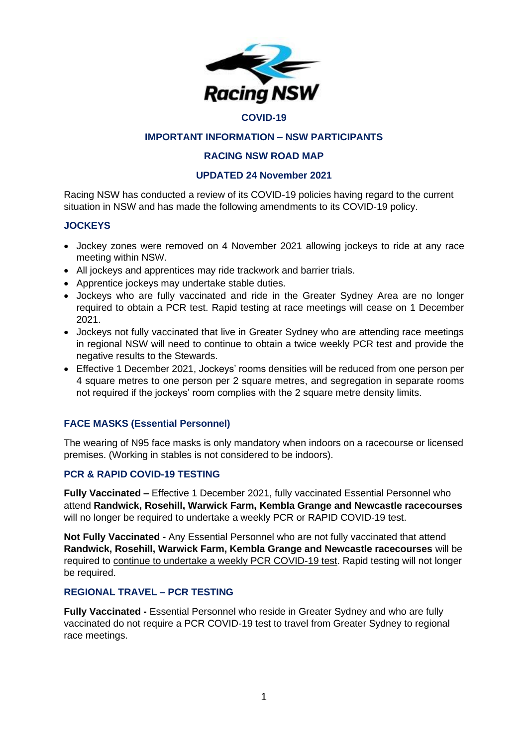

#### **COVID-19**

# **IMPORTANT INFORMATION – NSW PARTICIPANTS**

## **RACING NSW ROAD MAP**

### **UPDATED 24 November 2021**

Racing NSW has conducted a review of its COVID-19 policies having regard to the current situation in NSW and has made the following amendments to its COVID-19 policy.

### **JOCKEYS**

- Jockey zones were removed on 4 November 2021 allowing jockeys to ride at any race meeting within NSW.
- All jockeys and apprentices may ride trackwork and barrier trials.
- Apprentice jockeys may undertake stable duties.
- Jockeys who are fully vaccinated and ride in the Greater Sydney Area are no longer required to obtain a PCR test. Rapid testing at race meetings will cease on 1 December 2021.
- Jockeys not fully vaccinated that live in Greater Sydney who are attending race meetings in regional NSW will need to continue to obtain a twice weekly PCR test and provide the negative results to the Stewards.
- Effective 1 December 2021, Jockeys' rooms densities will be reduced from one person per 4 square metres to one person per 2 square metres, and segregation in separate rooms not required if the jockeys' room complies with the 2 square metre density limits.

# **FACE MASKS (Essential Personnel)**

The wearing of N95 face masks is only mandatory when indoors on a racecourse or licensed premises. (Working in stables is not considered to be indoors).

# **PCR & RAPID COVID-19 TESTING**

**Fully Vaccinated –** Effective 1 December 2021, fully vaccinated Essential Personnel who attend **Randwick, Rosehill, Warwick Farm, Kembla Grange and Newcastle racecourses** will no longer be required to undertake a weekly PCR or RAPID COVID-19 test.

**Not Fully Vaccinated -** Any Essential Personnel who are not fully vaccinated that attend **Randwick, Rosehill, Warwick Farm, Kembla Grange and Newcastle racecourses** will be required to continue to undertake a weekly PCR COVID-19 test. Rapid testing will not longer be required.

#### **REGIONAL TRAVEL – PCR TESTING**

**Fully Vaccinated -** Essential Personnel who reside in Greater Sydney and who are fully vaccinated do not require a PCR COVID-19 test to travel from Greater Sydney to regional race meetings.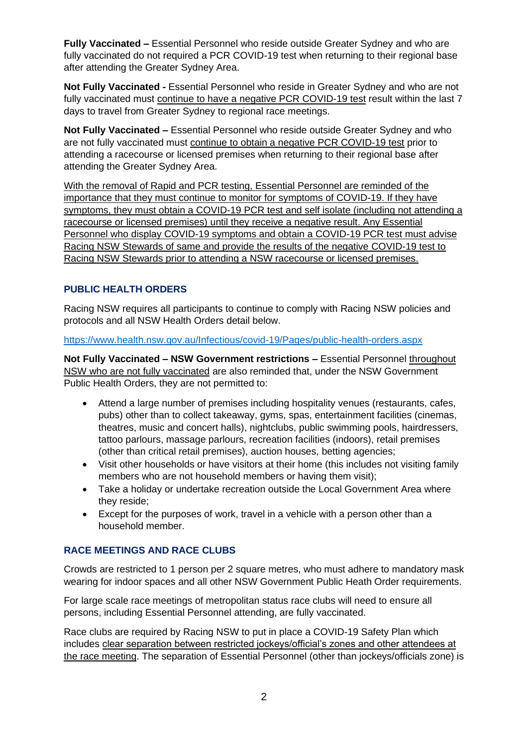**Fully Vaccinated –** Essential Personnel who reside outside Greater Sydney and who are fully vaccinated do not required a PCR COVID-19 test when returning to their regional base after attending the Greater Sydney Area.

**Not Fully Vaccinated -** Essential Personnel who reside in Greater Sydney and who are not fully vaccinated must continue to have a negative PCR COVID-19 test result within the last 7 days to travel from Greater Sydney to regional race meetings.

**Not Fully Vaccinated –** Essential Personnel who reside outside Greater Sydney and who are not fully vaccinated must continue to obtain a negative PCR COVID-19 test prior to attending a racecourse or licensed premises when returning to their regional base after attending the Greater Sydney Area.

With the removal of Rapid and PCR testing, Essential Personnel are reminded of the importance that they must continue to monitor for symptoms of COVID-19. If they have symptoms, they must obtain a COVID-19 PCR test and self isolate (including not attending a racecourse or licensed premises) until they receive a negative result. Any Essential Personnel who display COVID-19 symptoms and obtain a COVID-19 PCR test must advise Racing NSW Stewards of same and provide the results of the negative COVID-19 test to Racing NSW Stewards prior to attending a NSW racecourse or licensed premises.

# **PUBLIC HEALTH ORDERS**

Racing NSW requires all participants to continue to comply with Racing NSW policies and protocols and all NSW Health Orders detail below.

<https://www.health.nsw.gov.au/Infectious/covid-19/Pages/public-health-orders.aspx>

**Not Fully Vaccinated – NSW Government restrictions –** Essential Personnel throughout NSW who are not fully vaccinated are also reminded that, under the NSW Government Public Health Orders, they are not permitted to:

- Attend a large number of premises including hospitality venues (restaurants, cafes, pubs) other than to collect takeaway, gyms, spas, entertainment facilities (cinemas, theatres, music and concert halls), nightclubs, public swimming pools, hairdressers, tattoo parlours, massage parlours, recreation facilities (indoors), retail premises (other than critical retail premises), auction houses, betting agencies;
- Visit other households or have visitors at their home (this includes not visiting family members who are not household members or having them visit);
- Take a holiday or undertake recreation outside the Local Government Area where they reside;
- Except for the purposes of work, travel in a vehicle with a person other than a household member.

# **RACE MEETINGS AND RACE CLUBS**

Crowds are restricted to 1 person per 2 square metres, who must adhere to mandatory mask wearing for indoor spaces and all other NSW Government Public Heath Order requirements.

For large scale race meetings of metropolitan status race clubs will need to ensure all persons, including Essential Personnel attending, are fully vaccinated.

Race clubs are required by Racing NSW to put in place a COVID-19 Safety Plan which includes clear separation between restricted jockeys/official's zones and other attendees at the race meeting. The separation of Essential Personnel (other than jockeys/officials zone) is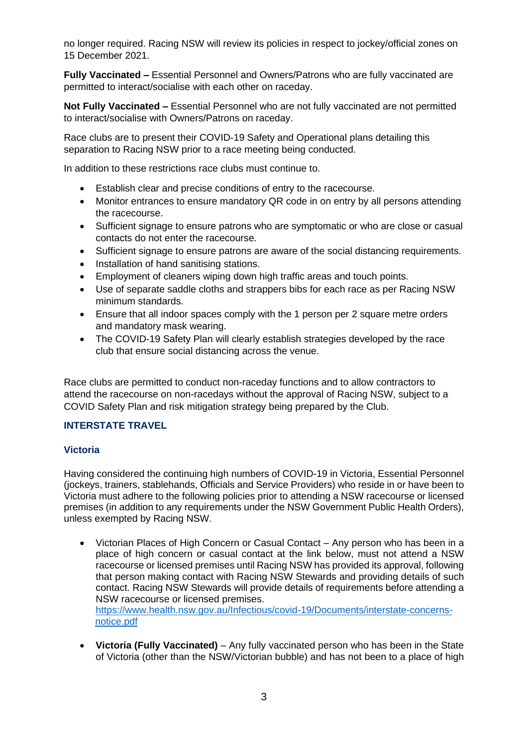no longer required. Racing NSW will review its policies in respect to jockey/official zones on 15 December 2021.

**Fully Vaccinated –** Essential Personnel and Owners/Patrons who are fully vaccinated are permitted to interact/socialise with each other on raceday.

**Not Fully Vaccinated –** Essential Personnel who are not fully vaccinated are not permitted to interact/socialise with Owners/Patrons on raceday.

Race clubs are to present their COVID-19 Safety and Operational plans detailing this separation to Racing NSW prior to a race meeting being conducted.

In addition to these restrictions race clubs must continue to.

- Establish clear and precise conditions of entry to the racecourse.
- Monitor entrances to ensure mandatory QR code in on entry by all persons attending the racecourse.
- Sufficient signage to ensure patrons who are symptomatic or who are close or casual contacts do not enter the racecourse.
- Sufficient signage to ensure patrons are aware of the social distancing requirements.
- Installation of hand sanitising stations.
- Employment of cleaners wiping down high traffic areas and touch points.
- Use of separate saddle cloths and strappers bibs for each race as per Racing NSW minimum standards.
- Ensure that all indoor spaces comply with the 1 person per 2 square metre orders and mandatory mask wearing.
- The COVID-19 Safety Plan will clearly establish strategies developed by the race club that ensure social distancing across the venue.

Race clubs are permitted to conduct non-raceday functions and to allow contractors to attend the racecourse on non-racedays without the approval of Racing NSW, subject to a COVID Safety Plan and risk mitigation strategy being prepared by the Club.

# **INTERSTATE TRAVEL**

# **Victoria**

Having considered the continuing high numbers of COVID-19 in Victoria, Essential Personnel (jockeys, trainers, stablehands, Officials and Service Providers) who reside in or have been to Victoria must adhere to the following policies prior to attending a NSW racecourse or licensed premises (in addition to any requirements under the NSW Government Public Health Orders), unless exempted by Racing NSW.

• Victorian Places of High Concern or Casual Contact – Any person who has been in a place of high concern or casual contact at the link below, must not attend a NSW racecourse or licensed premises until Racing NSW has provided its approval, following that person making contact with Racing NSW Stewards and providing details of such contact. Racing NSW Stewards will provide details of requirements before attending a NSW racecourse or licensed premises.

[https://www.health.nsw.gov.au/Infectious/covid-19/Documents/interstate-concerns](https://www.health.nsw.gov.au/Infectious/covid-19/Documents/interstate-concerns-notice.pdf)[notice.pdf](https://www.health.nsw.gov.au/Infectious/covid-19/Documents/interstate-concerns-notice.pdf)

• **Victoria (Fully Vaccinated)** – Any fully vaccinated person who has been in the State of Victoria (other than the NSW/Victorian bubble) and has not been to a place of high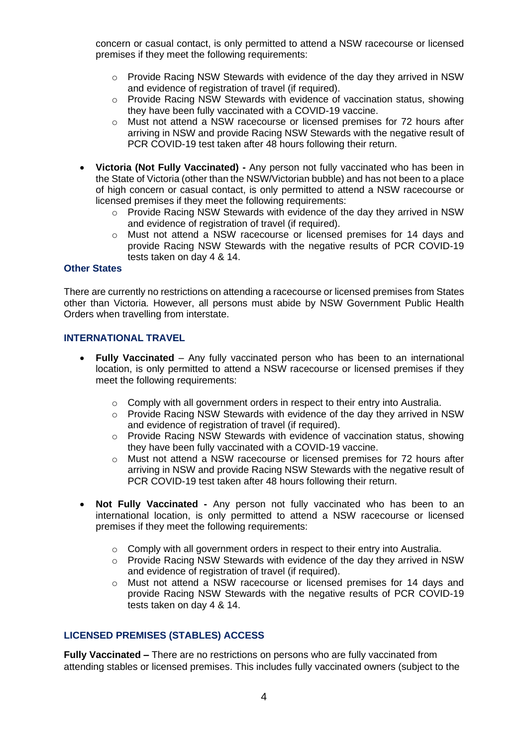concern or casual contact, is only permitted to attend a NSW racecourse or licensed premises if they meet the following requirements:

- o Provide Racing NSW Stewards with evidence of the day they arrived in NSW and evidence of registration of travel (if required).
- $\circ$  Provide Racing NSW Stewards with evidence of vaccination status, showing they have been fully vaccinated with a COVID-19 vaccine.
- o Must not attend a NSW racecourse or licensed premises for 72 hours after arriving in NSW and provide Racing NSW Stewards with the negative result of PCR COVID-19 test taken after 48 hours following their return.
- **Victoria (Not Fully Vaccinated) -** Any person not fully vaccinated who has been in the State of Victoria (other than the NSW/Victorian bubble) and has not been to a place of high concern or casual contact, is only permitted to attend a NSW racecourse or licensed premises if they meet the following requirements:
	- o Provide Racing NSW Stewards with evidence of the day they arrived in NSW and evidence of registration of travel (if required).
	- o Must not attend a NSW racecourse or licensed premises for 14 days and provide Racing NSW Stewards with the negative results of PCR COVID-19 tests taken on day 4 & 14.

# **Other States**

There are currently no restrictions on attending a racecourse or licensed premises from States other than Victoria. However, all persons must abide by NSW Government Public Health Orders when travelling from interstate.

#### **INTERNATIONAL TRAVEL**

- **Fully Vaccinated**  Any fully vaccinated person who has been to an international location, is only permitted to attend a NSW racecourse or licensed premises if they meet the following requirements:
	- o Comply with all government orders in respect to their entry into Australia.
	- o Provide Racing NSW Stewards with evidence of the day they arrived in NSW and evidence of registration of travel (if required).
	- o Provide Racing NSW Stewards with evidence of vaccination status, showing they have been fully vaccinated with a COVID-19 vaccine.
	- o Must not attend a NSW racecourse or licensed premises for 72 hours after arriving in NSW and provide Racing NSW Stewards with the negative result of PCR COVID-19 test taken after 48 hours following their return.
- **Not Fully Vaccinated -** Any person not fully vaccinated who has been to an international location, is only permitted to attend a NSW racecourse or licensed premises if they meet the following requirements:
	- o Comply with all government orders in respect to their entry into Australia.
	- o Provide Racing NSW Stewards with evidence of the day they arrived in NSW and evidence of registration of travel (if required).
	- o Must not attend a NSW racecourse or licensed premises for 14 days and provide Racing NSW Stewards with the negative results of PCR COVID-19 tests taken on day 4 & 14.

### **LICENSED PREMISES (STABLES) ACCESS**

**Fully Vaccinated –** There are no restrictions on persons who are fully vaccinated from attending stables or licensed premises. This includes fully vaccinated owners (subject to the